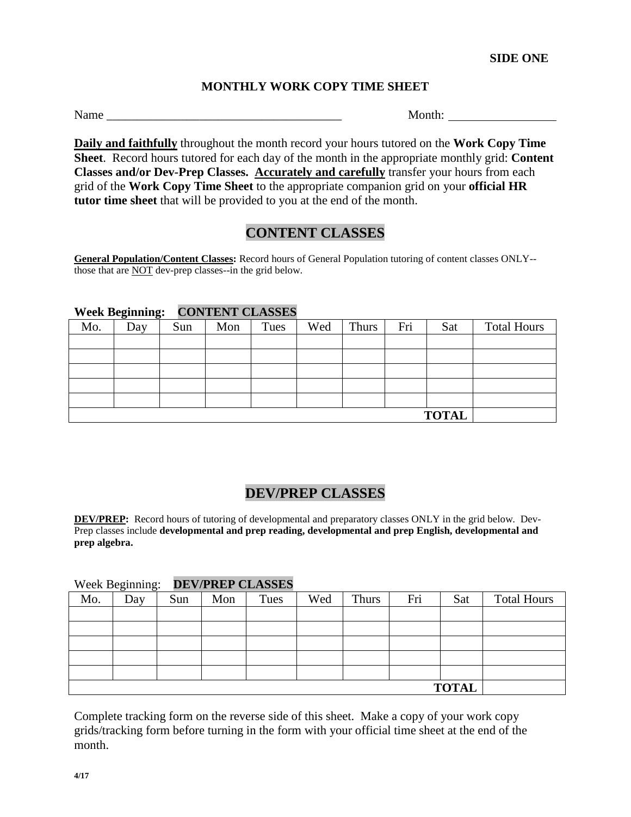### **MONTHLY WORK COPY TIME SHEET**

Name Month:

**Daily and faithfully** throughout the month record your hours tutored on the **Work Copy Time Sheet**. Record hours tutored for each day of the month in the appropriate monthly grid: **Content Classes and/or Dev-Prep Classes. Accurately and carefully** transfer your hours from each grid of the **Work Copy Time Sheet** to the appropriate companion grid on your **official HR tutor time sheet** that will be provided to you at the end of the month.

### **CONTENT CLASSES**

**General Population/Content Classes:** Record hours of General Population tutoring of content classes ONLY- those that are NOT dev-prep classes--in the grid below.

#### **Week Beginning: CONTENT CLASSES**

| Mo. | Day          | $\mathbf{\sigma}$<br>Sun | Mon | Tues | Wed | Thurs | Fri | Sat | <b>Total Hours</b> |
|-----|--------------|--------------------------|-----|------|-----|-------|-----|-----|--------------------|
|     |              |                          |     |      |     |       |     |     |                    |
|     |              |                          |     |      |     |       |     |     |                    |
|     |              |                          |     |      |     |       |     |     |                    |
|     |              |                          |     |      |     |       |     |     |                    |
|     |              |                          |     |      |     |       |     |     |                    |
|     | <b>TOTAL</b> |                          |     |      |     |       |     |     |                    |

## **DEV/PREP CLASSES**

**DEV/PREP:** Record hours of tutoring of developmental and preparatory classes ONLY in the grid below. Dev-Prep classes include **developmental and prep reading, developmental and prep English, developmental and prep algebra.**

#### Week Beginning: **DEV/PREP CLASSES**

| Mo.          | ັ<br>Day | Sun | Mon | Tues | Wed | Thurs | Fri | Sat | <b>Total Hours</b> |
|--------------|----------|-----|-----|------|-----|-------|-----|-----|--------------------|
|              |          |     |     |      |     |       |     |     |                    |
|              |          |     |     |      |     |       |     |     |                    |
|              |          |     |     |      |     |       |     |     |                    |
|              |          |     |     |      |     |       |     |     |                    |
|              |          |     |     |      |     |       |     |     |                    |
| <b>TOTAL</b> |          |     |     |      |     |       |     |     |                    |

Complete tracking form on the reverse side of this sheet. Make a copy of your work copy grids/tracking form before turning in the form with your official time sheet at the end of the month.